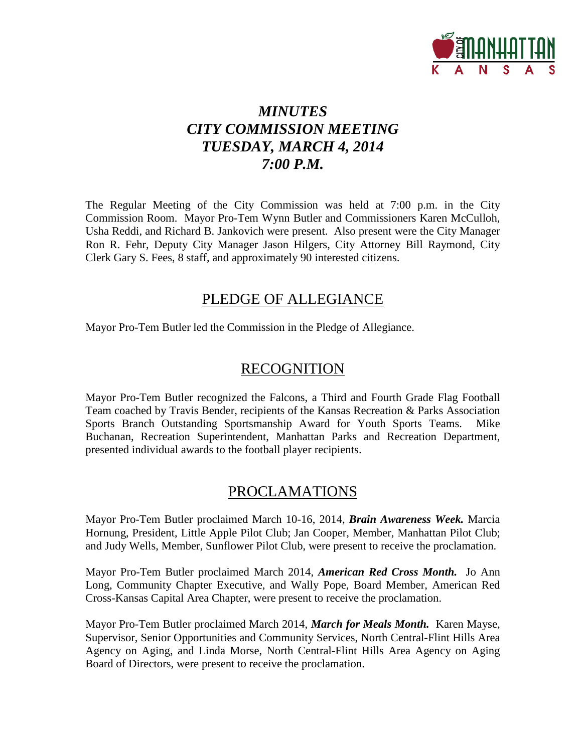

# *MINUTES CITY COMMISSION MEETING TUESDAY, MARCH 4, 2014 7:00 P.M.*

The Regular Meeting of the City Commission was held at 7:00 p.m. in the City Commission Room. Mayor Pro-Tem Wynn Butler and Commissioners Karen McCulloh, Usha Reddi, and Richard B. Jankovich were present. Also present were the City Manager Ron R. Fehr, Deputy City Manager Jason Hilgers, City Attorney Bill Raymond, City Clerk Gary S. Fees, 8 staff, and approximately 90 interested citizens.

# PLEDGE OF ALLEGIANCE

Mayor Pro-Tem Butler led the Commission in the Pledge of Allegiance.

# RECOGNITION

Mayor Pro-Tem Butler recognized the Falcons, a Third and Fourth Grade Flag Football Team coached by Travis Bender, recipients of the Kansas Recreation & Parks Association Sports Branch Outstanding Sportsmanship Award for Youth Sports Teams. Mike Buchanan, Recreation Superintendent, Manhattan Parks and Recreation Department, presented individual awards to the football player recipients.

# PROCLAMATIONS

Mayor Pro-Tem Butler proclaimed March 10-16, 2014, *Brain Awareness Week.* Marcia Hornung, President, Little Apple Pilot Club; Jan Cooper, Member, Manhattan Pilot Club; and Judy Wells, Member, Sunflower Pilot Club, were present to receive the proclamation.

Mayor Pro-Tem Butler proclaimed March 2014, *American Red Cross Month.* Jo Ann Long, Community Chapter Executive, and Wally Pope, Board Member, American Red Cross-Kansas Capital Area Chapter, were present to receive the proclamation.

Mayor Pro-Tem Butler proclaimed March 2014, *March for Meals Month.* Karen Mayse, Supervisor, Senior Opportunities and Community Services, North Central-Flint Hills Area Agency on Aging, and Linda Morse, North Central-Flint Hills Area Agency on Aging Board of Directors, were present to receive the proclamation.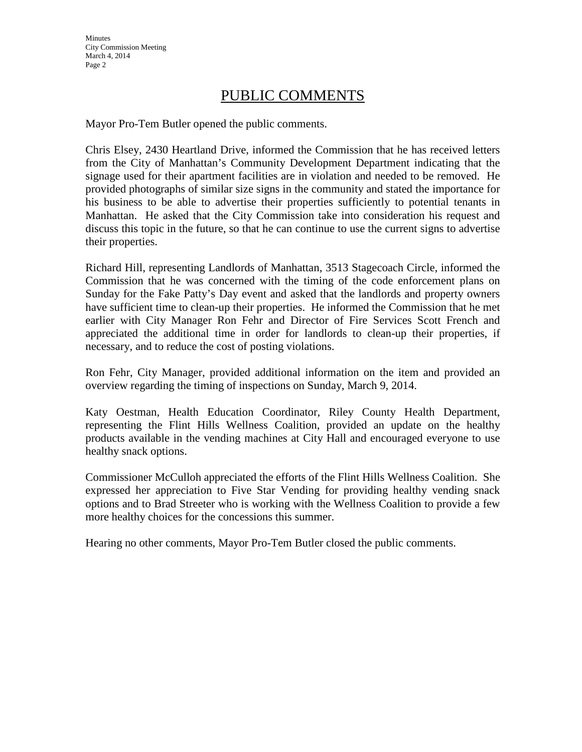# PUBLIC COMMENTS

Mayor Pro-Tem Butler opened the public comments.

Chris Elsey, 2430 Heartland Drive, informed the Commission that he has received letters from the City of Manhattan's Community Development Department indicating that the signage used for their apartment facilities are in violation and needed to be removed. He provided photographs of similar size signs in the community and stated the importance for his business to be able to advertise their properties sufficiently to potential tenants in Manhattan. He asked that the City Commission take into consideration his request and discuss this topic in the future, so that he can continue to use the current signs to advertise their properties.

Richard Hill, representing Landlords of Manhattan, 3513 Stagecoach Circle, informed the Commission that he was concerned with the timing of the code enforcement plans on Sunday for the Fake Patty's Day event and asked that the landlords and property owners have sufficient time to clean-up their properties. He informed the Commission that he met earlier with City Manager Ron Fehr and Director of Fire Services Scott French and appreciated the additional time in order for landlords to clean-up their properties, if necessary, and to reduce the cost of posting violations.

Ron Fehr, City Manager, provided additional information on the item and provided an overview regarding the timing of inspections on Sunday, March 9, 2014.

Katy Oestman, Health Education Coordinator, Riley County Health Department, representing the Flint Hills Wellness Coalition, provided an update on the healthy products available in the vending machines at City Hall and encouraged everyone to use healthy snack options.

Commissioner McCulloh appreciated the efforts of the Flint Hills Wellness Coalition. She expressed her appreciation to Five Star Vending for providing healthy vending snack options and to Brad Streeter who is working with the Wellness Coalition to provide a few more healthy choices for the concessions this summer.

Hearing no other comments, Mayor Pro-Tem Butler closed the public comments.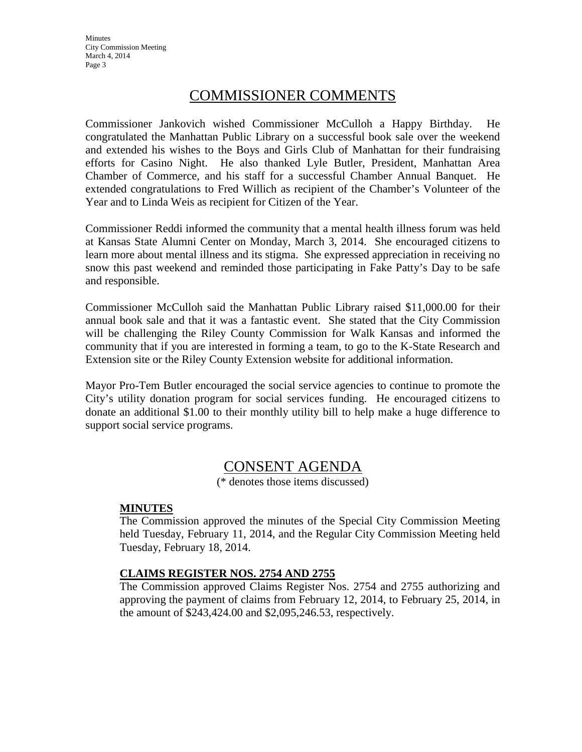# COMMISSIONER COMMENTS

Commissioner Jankovich wished Commissioner McCulloh a Happy Birthday. He congratulated the Manhattan Public Library on a successful book sale over the weekend and extended his wishes to the Boys and Girls Club of Manhattan for their fundraising efforts for Casino Night. He also thanked Lyle Butler, President, Manhattan Area Chamber of Commerce, and his staff for a successful Chamber Annual Banquet. He extended congratulations to Fred Willich as recipient of the Chamber's Volunteer of the Year and to Linda Weis as recipient for Citizen of the Year.

Commissioner Reddi informed the community that a mental health illness forum was held at Kansas State Alumni Center on Monday, March 3, 2014. She encouraged citizens to learn more about mental illness and its stigma. She expressed appreciation in receiving no snow this past weekend and reminded those participating in Fake Patty's Day to be safe and responsible.

Commissioner McCulloh said the Manhattan Public Library raised \$11,000.00 for their annual book sale and that it was a fantastic event. She stated that the City Commission will be challenging the Riley County Commission for Walk Kansas and informed the community that if you are interested in forming a team, to go to the K-State Research and Extension site or the Riley County Extension website for additional information.

Mayor Pro-Tem Butler encouraged the social service agencies to continue to promote the City's utility donation program for social services funding. He encouraged citizens to donate an additional \$1.00 to their monthly utility bill to help make a huge difference to support social service programs.

# CONSENT AGENDA

(\* denotes those items discussed)

## **MINUTES**

The Commission approved the minutes of the Special City Commission Meeting held Tuesday, February 11, 2014, and the Regular City Commission Meeting held Tuesday, February 18, 2014.

## **CLAIMS REGISTER NOS. 2754 AND 2755**

The Commission approved Claims Register Nos. 2754 and 2755 authorizing and approving the payment of claims from February 12, 2014, to February 25, 2014, in the amount of \$243,424.00 and \$2,095,246.53, respectively.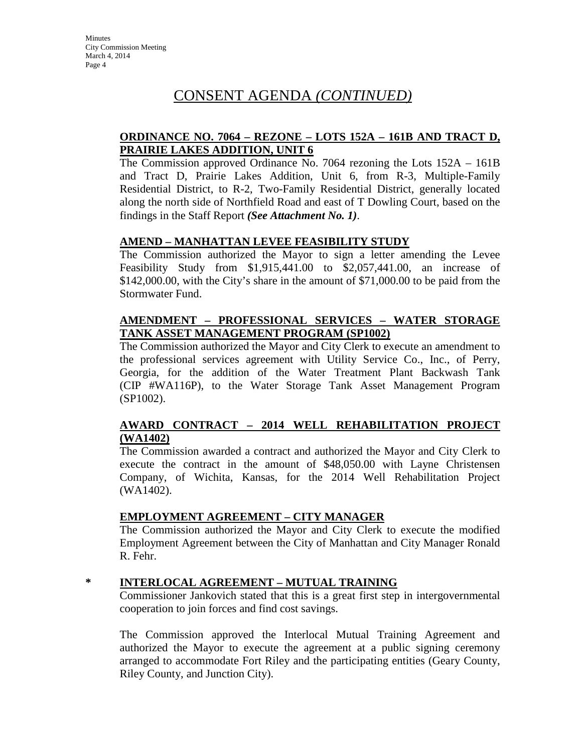# CONSENT AGENDA *(CONTINUED)*

## **ORDINANCE NO. 7064 – REZONE – LOTS 152A – 161B AND TRACT D, PRAIRIE LAKES ADDITION, UNIT 6**

The Commission approved Ordinance No. 7064 rezoning the Lots 152A – 161B and Tract D, Prairie Lakes Addition, Unit 6, from R-3, Multiple-Family Residential District, to R-2, Two-Family Residential District, generally located along the north side of Northfield Road and east of T Dowling Court, based on the findings in the Staff Report *(See Attachment No. 1)*.

### **AMEND – MANHATTAN LEVEE FEASIBILITY STUDY**

The Commission authorized the Mayor to sign a letter amending the Levee Feasibility Study from \$1,915,441.00 to \$2,057,441.00, an increase of \$142,000.00, with the City's share in the amount of \$71,000.00 to be paid from the Stormwater Fund.

## **AMENDMENT – PROFESSIONAL SERVICES – WATER STORAGE TANK ASSET MANAGEMENT PROGRAM (SP1002)**

The Commission authorized the Mayor and City Clerk to execute an amendment to the professional services agreement with Utility Service Co., Inc., of Perry, Georgia, for the addition of the Water Treatment Plant Backwash Tank (CIP #WA116P), to the Water Storage Tank Asset Management Program (SP1002).

## **AWARD CONTRACT – 2014 WELL REHABILITATION PROJECT (WA1402)**

The Commission awarded a contract and authorized the Mayor and City Clerk to execute the contract in the amount of \$48,050.00 with Layne Christensen Company, of Wichita, Kansas, for the 2014 Well Rehabilitation Project (WA1402).

## **EMPLOYMENT AGREEMENT – CITY MANAGER**

The Commission authorized the Mayor and City Clerk to execute the modified Employment Agreement between the City of Manhattan and City Manager Ronald R. Fehr.

## **\* INTERLOCAL AGREEMENT – MUTUAL TRAINING**

Commissioner Jankovich stated that this is a great first step in intergovernmental cooperation to join forces and find cost savings.

The Commission approved the Interlocal Mutual Training Agreement and authorized the Mayor to execute the agreement at a public signing ceremony arranged to accommodate Fort Riley and the participating entities (Geary County, Riley County, and Junction City).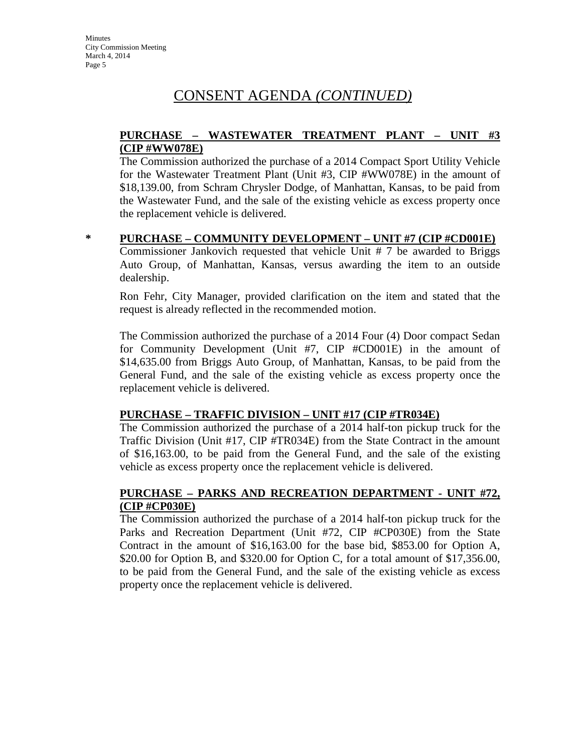# CONSENT AGENDA *(CONTINUED)*

## **PURCHASE – WASTEWATER TREATMENT PLANT – UNIT #3 (CIP #WW078E)**

The Commission authorized the purchase of a 2014 Compact Sport Utility Vehicle for the Wastewater Treatment Plant (Unit #3, CIP #WW078E) in the amount of \$18,139.00, from Schram Chrysler Dodge, of Manhattan, Kansas, to be paid from the Wastewater Fund, and the sale of the existing vehicle as excess property once the replacement vehicle is delivered.

### **\* PURCHASE – COMMUNITY DEVELOPMENT – UNIT #7 (CIP #CD001E)**

Commissioner Jankovich requested that vehicle Unit # 7 be awarded to Briggs Auto Group, of Manhattan, Kansas, versus awarding the item to an outside dealership.

Ron Fehr, City Manager, provided clarification on the item and stated that the request is already reflected in the recommended motion.

The Commission authorized the purchase of a 2014 Four (4) Door compact Sedan for Community Development (Unit #7, CIP #CD001E) in the amount of \$14,635.00 from Briggs Auto Group, of Manhattan, Kansas, to be paid from the General Fund, and the sale of the existing vehicle as excess property once the replacement vehicle is delivered.

#### **PURCHASE – TRAFFIC DIVISION – UNIT #17 (CIP #TR034E)**

The Commission authorized the purchase of a 2014 half-ton pickup truck for the Traffic Division (Unit #17, CIP #TR034E) from the State Contract in the amount of \$16,163.00, to be paid from the General Fund, and the sale of the existing vehicle as excess property once the replacement vehicle is delivered.

## **PURCHASE – PARKS AND RECREATION DEPARTMENT - UNIT #72, (CIP #CP030E)**

The Commission authorized the purchase of a 2014 half-ton pickup truck for the Parks and Recreation Department (Unit #72, CIP #CP030E) from the State Contract in the amount of \$16,163.00 for the base bid, \$853.00 for Option A, \$20.00 for Option B, and \$320.00 for Option C, for a total amount of \$17,356.00, to be paid from the General Fund, and the sale of the existing vehicle as excess property once the replacement vehicle is delivered.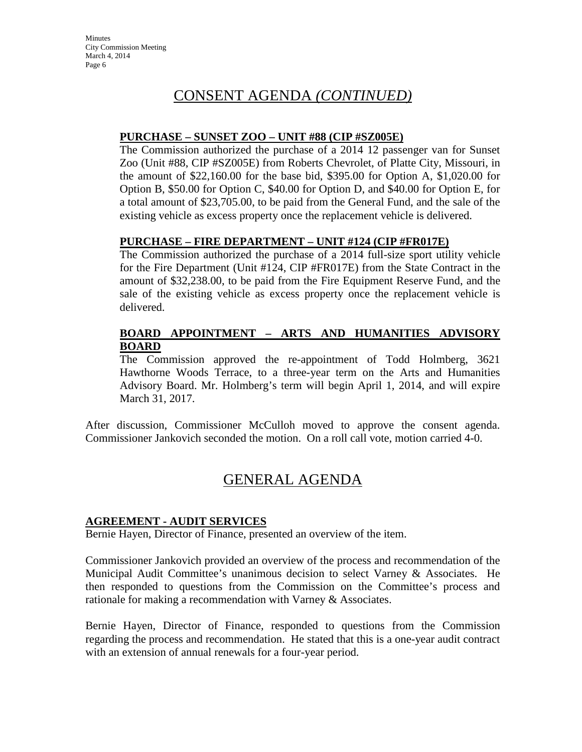# CONSENT AGENDA *(CONTINUED)*

### **PURCHASE – SUNSET ZOO – UNIT #88 (CIP #SZ005E)**

The Commission authorized the purchase of a 2014 12 passenger van for Sunset Zoo (Unit #88, CIP #SZ005E) from Roberts Chevrolet, of Platte City, Missouri, in the amount of \$22,160.00 for the base bid, \$395.00 for Option A, \$1,020.00 for Option B, \$50.00 for Option C, \$40.00 for Option D, and \$40.00 for Option E, for a total amount of \$23,705.00, to be paid from the General Fund, and the sale of the existing vehicle as excess property once the replacement vehicle is delivered.

## **PURCHASE – FIRE DEPARTMENT – UNIT #124 (CIP #FR017E)**

The Commission authorized the purchase of a 2014 full-size sport utility vehicle for the Fire Department (Unit #124, CIP #FR017E) from the State Contract in the amount of \$32,238.00, to be paid from the Fire Equipment Reserve Fund, and the sale of the existing vehicle as excess property once the replacement vehicle is delivered.

## **BOARD APPOINTMENT – ARTS AND HUMANITIES ADVISORY BOARD**

The Commission approved the re-appointment of Todd Holmberg, 3621 Hawthorne Woods Terrace, to a three-year term on the Arts and Humanities Advisory Board. Mr. Holmberg's term will begin April 1, 2014, and will expire March 31, 2017.

After discussion, Commissioner McCulloh moved to approve the consent agenda. Commissioner Jankovich seconded the motion. On a roll call vote, motion carried 4-0.

# GENERAL AGENDA

#### **AGREEMENT - AUDIT SERVICES**

Bernie Hayen, Director of Finance, presented an overview of the item.

Commissioner Jankovich provided an overview of the process and recommendation of the Municipal Audit Committee's unanimous decision to select Varney & Associates. He then responded to questions from the Commission on the Committee's process and rationale for making a recommendation with Varney & Associates.

Bernie Hayen, Director of Finance, responded to questions from the Commission regarding the process and recommendation. He stated that this is a one-year audit contract with an extension of annual renewals for a four-year period.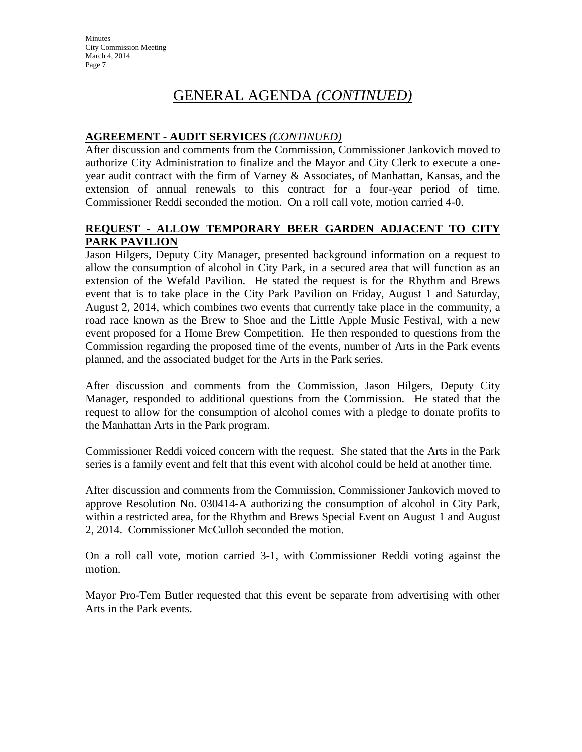# GENERAL AGENDA *(CONTINUED)*

## **AGREEMENT - AUDIT SERVICES** *(CONTINUED)*

After discussion and comments from the Commission, Commissioner Jankovich moved to authorize City Administration to finalize and the Mayor and City Clerk to execute a oneyear audit contract with the firm of Varney & Associates, of Manhattan, Kansas, and the extension of annual renewals to this contract for a four-year period of time. Commissioner Reddi seconded the motion. On a roll call vote, motion carried 4-0.

## **REQUEST - ALLOW TEMPORARY BEER GARDEN ADJACENT TO CITY PARK PAVILION**

Jason Hilgers, Deputy City Manager, presented background information on a request to allow the consumption of alcohol in City Park, in a secured area that will function as an extension of the Wefald Pavilion. He stated the request is for the Rhythm and Brews event that is to take place in the City Park Pavilion on Friday, August 1 and Saturday, August 2, 2014, which combines two events that currently take place in the community, a road race known as the Brew to Shoe and the Little Apple Music Festival, with a new event proposed for a Home Brew Competition. He then responded to questions from the Commission regarding the proposed time of the events, number of Arts in the Park events planned, and the associated budget for the Arts in the Park series.

After discussion and comments from the Commission, Jason Hilgers, Deputy City Manager, responded to additional questions from the Commission. He stated that the request to allow for the consumption of alcohol comes with a pledge to donate profits to the Manhattan Arts in the Park program.

Commissioner Reddi voiced concern with the request. She stated that the Arts in the Park series is a family event and felt that this event with alcohol could be held at another time.

After discussion and comments from the Commission, Commissioner Jankovich moved to approve Resolution No. 030414-A authorizing the consumption of alcohol in City Park, within a restricted area, for the Rhythm and Brews Special Event on August 1 and August 2, 2014. Commissioner McCulloh seconded the motion.

On a roll call vote, motion carried 3-1, with Commissioner Reddi voting against the motion.

Mayor Pro-Tem Butler requested that this event be separate from advertising with other Arts in the Park events.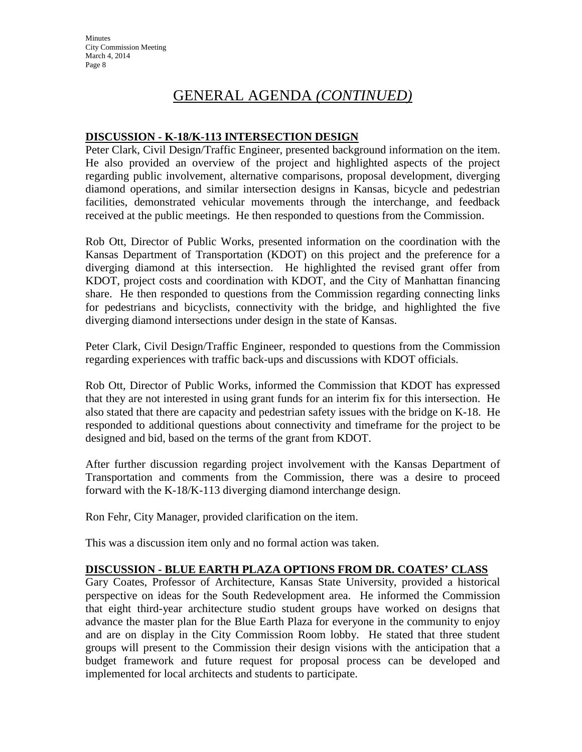# GENERAL AGENDA *(CONTINUED)*

### **DISCUSSION - K-18/K-113 INTERSECTION DESIGN**

Peter Clark, Civil Design/Traffic Engineer, presented background information on the item. He also provided an overview of the project and highlighted aspects of the project regarding public involvement, alternative comparisons, proposal development, diverging diamond operations, and similar intersection designs in Kansas, bicycle and pedestrian facilities, demonstrated vehicular movements through the interchange, and feedback received at the public meetings. He then responded to questions from the Commission.

Rob Ott, Director of Public Works, presented information on the coordination with the Kansas Department of Transportation (KDOT) on this project and the preference for a diverging diamond at this intersection. He highlighted the revised grant offer from KDOT, project costs and coordination with KDOT, and the City of Manhattan financing share. He then responded to questions from the Commission regarding connecting links for pedestrians and bicyclists, connectivity with the bridge, and highlighted the five diverging diamond intersections under design in the state of Kansas.

Peter Clark, Civil Design/Traffic Engineer, responded to questions from the Commission regarding experiences with traffic back-ups and discussions with KDOT officials.

Rob Ott, Director of Public Works, informed the Commission that KDOT has expressed that they are not interested in using grant funds for an interim fix for this intersection. He also stated that there are capacity and pedestrian safety issues with the bridge on K-18. He responded to additional questions about connectivity and timeframe for the project to be designed and bid, based on the terms of the grant from KDOT.

After further discussion regarding project involvement with the Kansas Department of Transportation and comments from the Commission, there was a desire to proceed forward with the K-18/K-113 diverging diamond interchange design.

Ron Fehr, City Manager, provided clarification on the item.

This was a discussion item only and no formal action was taken.

#### **DISCUSSION - BLUE EARTH PLAZA OPTIONS FROM DR. COATES' CLASS**

Gary Coates, Professor of Architecture, Kansas State University, provided a historical perspective on ideas for the South Redevelopment area. He informed the Commission that eight third-year architecture studio student groups have worked on designs that advance the master plan for the Blue Earth Plaza for everyone in the community to enjoy and are on display in the City Commission Room lobby. He stated that three student groups will present to the Commission their design visions with the anticipation that a budget framework and future request for proposal process can be developed and implemented for local architects and students to participate.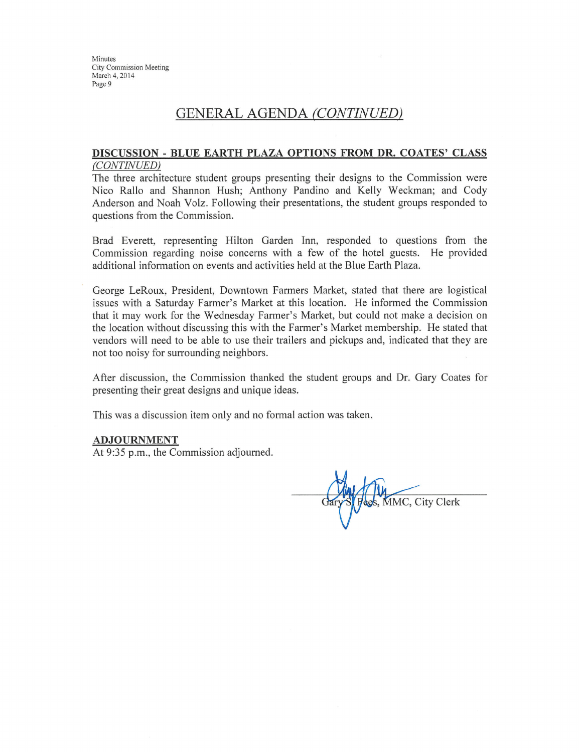# **GENERAL AGENDA (CONTINUED)**

#### DISCUSSION - BLUE EARTH PLAZA OPTIONS FROM DR. COATES' CLASS (CONTINUED)

The three architecture student groups presenting their designs to the Commission were Nico Rallo and Shannon Hush; Anthony Pandino and Kelly Weckman; and Cody Anderson and Noah Volz. Following their presentations, the student groups responded to questions from the Commission.

Brad Everett, representing Hilton Garden Inn, responded to questions from the Commission regarding noise concerns with a few of the hotel guests. He provided additional information on events and activities held at the Blue Earth Plaza.

George LeRoux, President, Downtown Farmers Market, stated that there are logistical issues with a Saturday Farmer's Market at this location. He informed the Commission that it may work for the Wednesday Farmer's Market, but could not make a decision on the location without discussing this with the Farmer's Market membership. He stated that vendors will need to be able to use their trailers and pickups and, indicated that they are not too noisy for surrounding neighbors.

After discussion, the Commission thanked the student groups and Dr. Gary Coates for presenting their great designs and unique ideas.

This was a discussion item only and no formal action was taken.

#### **ADJOURNMENT**

At 9:35 p.m., the Commission adjourned.

MMC, City Clerk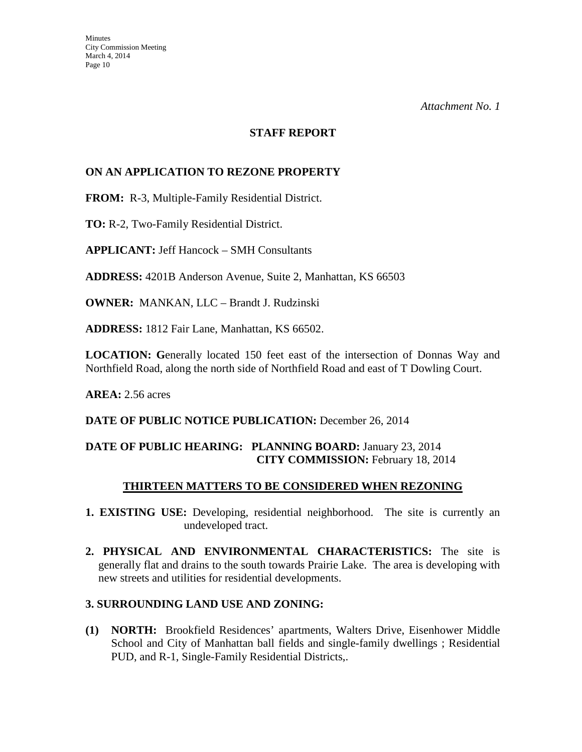#### **STAFF REPORT**

## **ON AN APPLICATION TO REZONE PROPERTY**

**FROM:** R-3, Multiple-Family Residential District.

**TO:** R-2, Two-Family Residential District.

**APPLICANT:** Jeff Hancock – SMH Consultants

**ADDRESS:** 4201B Anderson Avenue, Suite 2, Manhattan, KS 66503

**OWNER:** MANKAN, LLC – Brandt J. Rudzinski

**ADDRESS:** 1812 Fair Lane, Manhattan, KS 66502.

**LOCATION: G**enerally located 150 feet east of the intersection of Donnas Way and Northfield Road, along the north side of Northfield Road and east of T Dowling Court.

**AREA:** 2.56 acres

#### DATE OF PUBLIC NOTICE PUBLICATION: December 26, 2014

## **DATE OF PUBLIC HEARING: PLANNING BOARD:** January 23, 2014 **CITY COMMISSION:** February 18, 2014

#### **THIRTEEN MATTERS TO BE CONSIDERED WHEN REZONING**

- **1. EXISTING USE:** Developing, residential neighborhood. The site is currently an undeveloped tract.
- **2. PHYSICAL AND ENVIRONMENTAL CHARACTERISTICS:** The site is generally flat and drains to the south towards Prairie Lake. The area is developing with new streets and utilities for residential developments.

#### **3. SURROUNDING LAND USE AND ZONING:**

**(1) NORTH:** Brookfield Residences' apartments, Walters Drive, Eisenhower Middle School and City of Manhattan ball fields and single-family dwellings ; Residential PUD, and R-1, Single-Family Residential Districts,.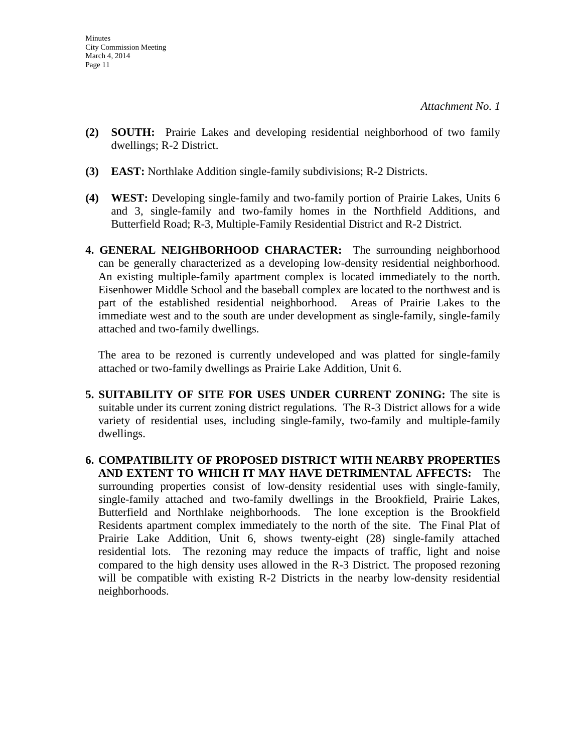- **(2) SOUTH:** Prairie Lakes and developing residential neighborhood of two family dwellings; R-2 District.
- **(3) EAST:** Northlake Addition single-family subdivisions; R-2 Districts.
- **(4) WEST:** Developing single-family and two-family portion of Prairie Lakes, Units 6 and 3, single-family and two-family homes in the Northfield Additions, and Butterfield Road; R-3, Multiple-Family Residential District and R-2 District.
- **4. GENERAL NEIGHBORHOOD CHARACTER:** The surrounding neighborhood can be generally characterized as a developing low-density residential neighborhood. An existing multiple-family apartment complex is located immediately to the north. Eisenhower Middle School and the baseball complex are located to the northwest and is part of the established residential neighborhood. Areas of Prairie Lakes to the immediate west and to the south are under development as single-family, single-family attached and two-family dwellings.

The area to be rezoned is currently undeveloped and was platted for single-family attached or two-family dwellings as Prairie Lake Addition, Unit 6.

- **5. SUITABILITY OF SITE FOR USES UNDER CURRENT ZONING:** The site is suitable under its current zoning district regulations. The R-3 District allows for a wide variety of residential uses, including single-family, two-family and multiple-family dwellings.
- **6. COMPATIBILITY OF PROPOSED DISTRICT WITH NEARBY PROPERTIES AND EXTENT TO WHICH IT MAY HAVE DETRIMENTAL AFFECTS:** The surrounding properties consist of low-density residential uses with single-family, single-family attached and two-family dwellings in the Brookfield, Prairie Lakes, Butterfield and Northlake neighborhoods. The lone exception is the Brookfield Residents apartment complex immediately to the north of the site. The Final Plat of Prairie Lake Addition, Unit 6, shows twenty-eight (28) single-family attached residential lots. The rezoning may reduce the impacts of traffic, light and noise compared to the high density uses allowed in the R-3 District. The proposed rezoning will be compatible with existing R-2 Districts in the nearby low-density residential neighborhoods.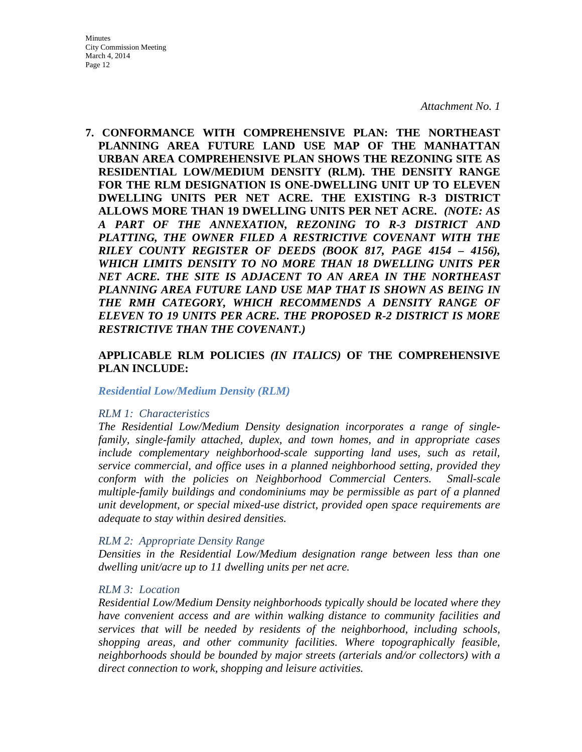**7. CONFORMANCE WITH COMPREHENSIVE PLAN: THE NORTHEAST PLANNING AREA FUTURE LAND USE MAP OF THE MANHATTAN URBAN AREA COMPREHENSIVE PLAN SHOWS THE REZONING SITE AS RESIDENTIAL LOW/MEDIUM DENSITY (RLM). THE DENSITY RANGE FOR THE RLM DESIGNATION IS ONE-DWELLING UNIT UP TO ELEVEN DWELLING UNITS PER NET ACRE. THE EXISTING R-3 DISTRICT ALLOWS MORE THAN 19 DWELLING UNITS PER NET ACRE.** *(NOTE: AS A PART OF THE ANNEXATION, REZONING TO R-3 DISTRICT AND PLATTING, THE OWNER FILED A RESTRICTIVE COVENANT WITH THE RILEY COUNTY REGISTER OF DEEDS (BOOK 817, PAGE 4154 – 4156), WHICH LIMITS DENSITY TO NO MORE THAN 18 DWELLING UNITS PER NET ACRE. THE SITE IS ADJACENT TO AN AREA IN THE NORTHEAST PLANNING AREA FUTURE LAND USE MAP THAT IS SHOWN AS BEING IN THE RMH CATEGORY, WHICH RECOMMENDS A DENSITY RANGE OF ELEVEN TO 19 UNITS PER ACRE. THE PROPOSED R-2 DISTRICT IS MORE RESTRICTIVE THAN THE COVENANT.)*

### **APPLICABLE RLM POLICIES** *(IN ITALICS)* **OF THE COMPREHENSIVE PLAN INCLUDE:**

#### *Residential Low/Medium Density (RLM)*

#### *RLM 1: Characteristics*

*The Residential Low/Medium Density designation incorporates a range of singlefamily, single-family attached, duplex, and town homes, and in appropriate cases include complementary neighborhood-scale supporting land uses, such as retail, service commercial, and office uses in a planned neighborhood setting, provided they conform with the policies on Neighborhood Commercial Centers. Small-scale multiple-family buildings and condominiums may be permissible as part of a planned unit development, or special mixed-use district, provided open space requirements are adequate to stay within desired densities.* 

#### *RLM 2: Appropriate Density Range*

*Densities in the Residential Low/Medium designation range between less than one dwelling unit/acre up to 11 dwelling units per net acre.* 

#### *RLM 3: Location*

*Residential Low/Medium Density neighborhoods typically should be located where they have convenient access and are within walking distance to community facilities and services that will be needed by residents of the neighborhood, including schools, shopping areas, and other community facilities. Where topographically feasible, neighborhoods should be bounded by major streets (arterials and/or collectors) with a direct connection to work, shopping and leisure activities.*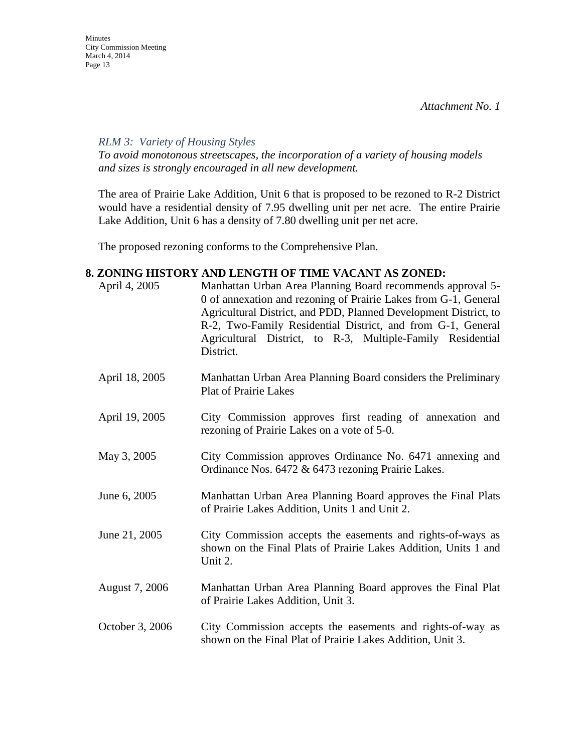#### *RLM 3: Variety of Housing Styles*

*To avoid monotonous streetscapes, the incorporation of a variety of housing models and sizes is strongly encouraged in all new development.* 

The area of Prairie Lake Addition, Unit 6 that is proposed to be rezoned to R-2 District would have a residential density of 7.95 dwelling unit per net acre. The entire Prairie Lake Addition, Unit 6 has a density of 7.80 dwelling unit per net acre.

The proposed rezoning conforms to the Comprehensive Plan.

## **8. ZONING HISTORY AND LENGTH OF TIME VACANT AS ZONED:**

| April 4, 2005   | Manhattan Urban Area Planning Board recommends approval 5-<br>0 of annexation and rezoning of Prairie Lakes from G-1, General<br>Agricultural District, and PDD, Planned Development District, to<br>R-2, Two-Family Residential District, and from G-1, General<br>Agricultural District, to R-3, Multiple-Family Residential<br>District. |
|-----------------|---------------------------------------------------------------------------------------------------------------------------------------------------------------------------------------------------------------------------------------------------------------------------------------------------------------------------------------------|
| April 18, 2005  | Manhattan Urban Area Planning Board considers the Preliminary<br><b>Plat of Prairie Lakes</b>                                                                                                                                                                                                                                               |
| April 19, 2005  | City Commission approves first reading of annexation and<br>rezoning of Prairie Lakes on a vote of 5-0.                                                                                                                                                                                                                                     |
| May 3, 2005     | City Commission approves Ordinance No. 6471 annexing and<br>Ordinance Nos. 6472 & 6473 rezoning Prairie Lakes.                                                                                                                                                                                                                              |
| June 6, 2005    | Manhattan Urban Area Planning Board approves the Final Plats<br>of Prairie Lakes Addition, Units 1 and Unit 2.                                                                                                                                                                                                                              |
| June 21, 2005   | City Commission accepts the easements and rights-of-ways as<br>shown on the Final Plats of Prairie Lakes Addition, Units 1 and<br>Unit 2.                                                                                                                                                                                                   |
| August 7, 2006  | Manhattan Urban Area Planning Board approves the Final Plat<br>of Prairie Lakes Addition, Unit 3.                                                                                                                                                                                                                                           |
| October 3, 2006 | City Commission accepts the easements and rights-of-way as<br>shown on the Final Plat of Prairie Lakes Addition, Unit 3.                                                                                                                                                                                                                    |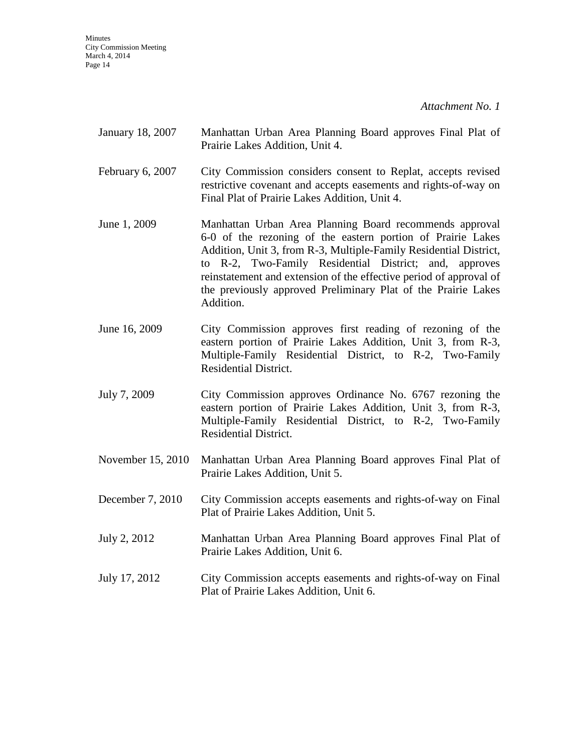*Attachment No. 1* 

| January 18, 2007 | Manhattan Urban Area Planning Board approves Final Plat of |  |  |  |
|------------------|------------------------------------------------------------|--|--|--|
|                  | Prairie Lakes Addition, Unit 4.                            |  |  |  |

- February 6, 2007 City Commission considers consent to Replat, accepts revised restrictive covenant and accepts easements and rights-of-way on Final Plat of Prairie Lakes Addition, Unit 4.
- June 1, 2009 Manhattan Urban Area Planning Board recommends approval 6-0 of the rezoning of the eastern portion of Prairie Lakes Addition, Unit 3, from R-3, Multiple-Family Residential District, to R-2, Two-Family Residential District; and, approves reinstatement and extension of the effective period of approval of the previously approved Preliminary Plat of the Prairie Lakes Addition.
- June 16, 2009 City Commission approves first reading of rezoning of the eastern portion of Prairie Lakes Addition, Unit 3, from R-3, Multiple-Family Residential District, to R-2, Two-Family Residential District.
- July 7, 2009 City Commission approves Ordinance No. 6767 rezoning the eastern portion of Prairie Lakes Addition, Unit 3, from R-3, Multiple-Family Residential District, to R-2, Two-Family Residential District.
- November 15, 2010 Manhattan Urban Area Planning Board approves Final Plat of Prairie Lakes Addition, Unit 5.
- December 7, 2010 City Commission accepts easements and rights-of-way on Final Plat of Prairie Lakes Addition, Unit 5.
- July 2, 2012 Manhattan Urban Area Planning Board approves Final Plat of Prairie Lakes Addition, Unit 6.
- July 17, 2012 City Commission accepts easements and rights-of-way on Final Plat of Prairie Lakes Addition, Unit 6.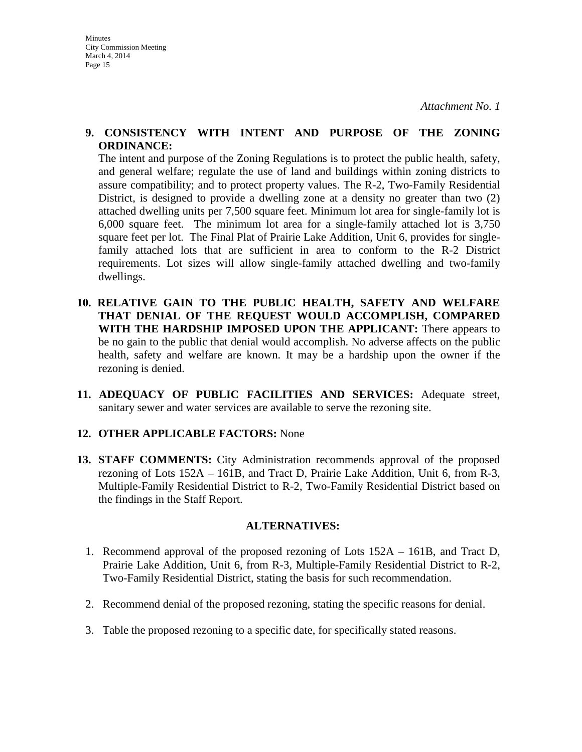#### **9. CONSISTENCY WITH INTENT AND PURPOSE OF THE ZONING ORDINANCE:**

The intent and purpose of the Zoning Regulations is to protect the public health, safety, and general welfare; regulate the use of land and buildings within zoning districts to assure compatibility; and to protect property values. The R-2, Two-Family Residential District, is designed to provide a dwelling zone at a density no greater than two (2) attached dwelling units per 7,500 square feet. Minimum lot area for single-family lot is 6,000 square feet. The minimum lot area for a single-family attached lot is 3,750 square feet per lot. The Final Plat of Prairie Lake Addition, Unit 6, provides for singlefamily attached lots that are sufficient in area to conform to the R-2 District requirements. Lot sizes will allow single-family attached dwelling and two-family dwellings.

- **10. RELATIVE GAIN TO THE PUBLIC HEALTH, SAFETY AND WELFARE THAT DENIAL OF THE REQUEST WOULD ACCOMPLISH, COMPARED WITH THE HARDSHIP IMPOSED UPON THE APPLICANT:** There appears to be no gain to the public that denial would accomplish. No adverse affects on the public health, safety and welfare are known. It may be a hardship upon the owner if the rezoning is denied.
- **11. ADEQUACY OF PUBLIC FACILITIES AND SERVICES:** Adequate street, sanitary sewer and water services are available to serve the rezoning site.

## **12. OTHER APPLICABLE FACTORS:** None

**13. STAFF COMMENTS:** City Administration recommends approval of the proposed rezoning of Lots 152A – 161B, and Tract D, Prairie Lake Addition, Unit 6, from R-3, Multiple-Family Residential District to R-2, Two-Family Residential District based on the findings in the Staff Report.

#### **ALTERNATIVES:**

- 1. Recommend approval of the proposed rezoning of Lots 152A 161B, and Tract D, Prairie Lake Addition, Unit 6, from R-3, Multiple-Family Residential District to R-2, Two-Family Residential District, stating the basis for such recommendation.
- 2. Recommend denial of the proposed rezoning, stating the specific reasons for denial.
- 3. Table the proposed rezoning to a specific date, for specifically stated reasons.